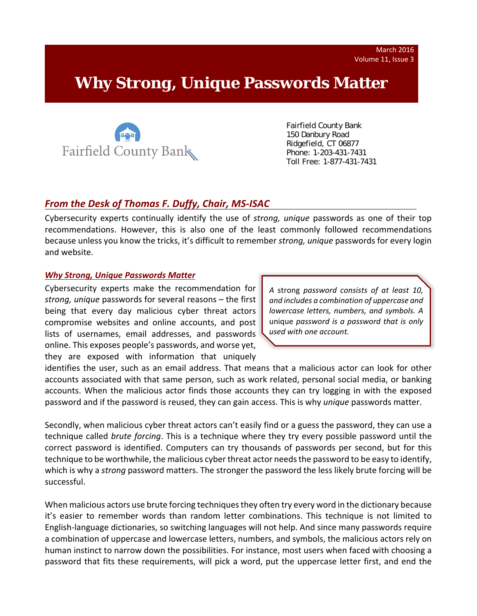# **Why** *Strong, Unique* **Passwords Matter**



 Fairfield County Bank 150 Danbury Road Ridgefield, CT 06877 Phone: 1-203-431-7431 Toll Free: 1-877-431-7431

# *From the Desk of Thomas F. Duffy, Chair, MS‐ISAC*

Cybersecurity experts continually identify the use of *strong, unique* passwords as one of their top recommendations. However, this is also one of the least commonly followed recommendations because unless you know the tricks, it's difficult to remember *strong, unique* passwords for every login and website.

#### *Why Strong, Unique Passwords Matter*

Cybersecurity experts make the recommendation for *strong, unique* passwords for several reasons – the first being that every day malicious cyber threat actors compromise websites and online accounts, and post lists of usernames, email addresses, and passwords online. This exposes people's passwords, and worse yet, they are exposed with information that uniquely

*A* strong *password consists of at least 10, and includes a combination of uppercase and lowercase letters, numbers, and symbols. A* unique *password is a password that is only used with one account.*

identifies the user, such as an email address. That means that a malicious actor can look for other accounts associated with that same person, such as work related, personal social media, or banking accounts. When the malicious actor finds those accounts they can try logging in with the exposed password and if the password is reused, they can gain access. This is why *unique* passwords matter.

Secondly, when malicious cyber threat actors can't easily find or a guess the password, they can use a technique called *brute forcing*. This is a technique where they try every possible password until the correct password is identified. Computers can try thousands of passwords per second, but for this technique to be worthwhile, the malicious cyber threat actor needsthe password to be easy to identify, which is why a *strong* password matters. The stronger the password the less likely brute forcing will be successful.

When malicious actors use brute forcing techniques they often try every word in the dictionary because it's easier to remember words than random letter combinations. This technique is not limited to English‐language dictionaries, so switching languages will not help. And since many passwords require a combination of uppercase and lowercase letters, numbers, and symbols, the malicious actors rely on human instinct to narrow down the possibilities. For instance, most users when faced with choosing a password that fits these requirements, will pick a word, put the uppercase letter first, and end the